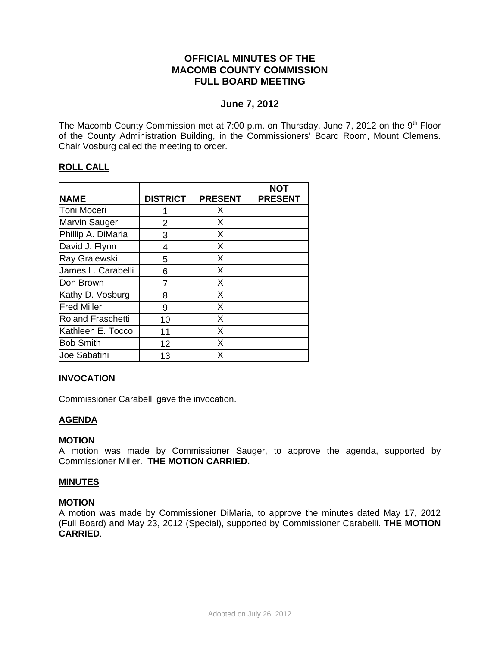# **OFFICIAL MINUTES OF THE MACOMB COUNTY COMMISSION FULL BOARD MEETING**

# **June 7, 2012**

The Macomb County Commission met at 7:00 p.m. on Thursday, June 7, 2012 on the  $9<sup>th</sup>$  Floor of the County Administration Building, in the Commissioners' Board Room, Mount Clemens. Chair Vosburg called the meeting to order.

# **ROLL CALL**

|                          |                 |                | <b>NOT</b>     |
|--------------------------|-----------------|----------------|----------------|
| <b>NAME</b>              | <b>DISTRICT</b> | <b>PRESENT</b> | <b>PRESENT</b> |
| Toni Moceri              |                 | X              |                |
| <b>Marvin Sauger</b>     | 2               | X              |                |
| Phillip A. DiMaria       | 3               | X              |                |
| David J. Flynn           | 4               | X              |                |
| Ray Gralewski            | 5               | X              |                |
| James L. Carabelli       | 6               | X              |                |
| Don Brown                | 7               | X              |                |
| Kathy D. Vosburg         | 8               | X              |                |
| <b>Fred Miller</b>       | 9               | X              |                |
| <b>Roland Fraschetti</b> | 10              | X              |                |
| Kathleen E. Tocco        | 11              | X              |                |
| <b>Bob Smith</b>         | 12              | X              |                |
| <b>Joe Sabatini</b>      | 13              | Х              |                |

# **INVOCATION**

Commissioner Carabelli gave the invocation.

# **AGENDA**

## **MOTION**

A motion was made by Commissioner Sauger, to approve the agenda, supported by Commissioner Miller. **THE MOTION CARRIED.** 

## **MINUTES**

## **MOTION**

A motion was made by Commissioner DiMaria, to approve the minutes dated May 17, 2012 (Full Board) and May 23, 2012 (Special), supported by Commissioner Carabelli. **THE MOTION CARRIED**.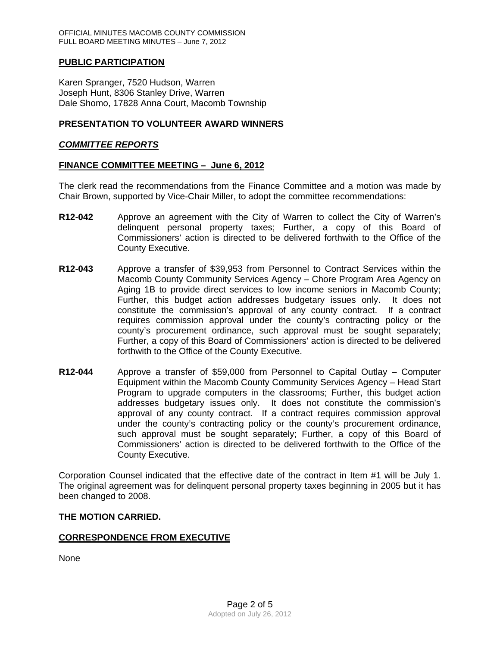# **PUBLIC PARTICIPATION**

Karen Spranger, 7520 Hudson, Warren Joseph Hunt, 8306 Stanley Drive, Warren Dale Shomo, 17828 Anna Court, Macomb Township

# **PRESENTATION TO VOLUNTEER AWARD WINNERS**

## *COMMITTEE REPORTS*

## **FINANCE COMMITTEE MEETING – June 6, 2012**

The clerk read the recommendations from the Finance Committee and a motion was made by Chair Brown, supported by Vice-Chair Miller, to adopt the committee recommendations:

- **R12-042** Approve an agreement with the City of Warren to collect the City of Warren's delinquent personal property taxes; Further, a copy of this Board of Commissioners' action is directed to be delivered forthwith to the Office of the County Executive.
- **R12-043** Approve a transfer of \$39,953 from Personnel to Contract Services within the Macomb County Community Services Agency – Chore Program Area Agency on Aging 1B to provide direct services to low income seniors in Macomb County; Further, this budget action addresses budgetary issues only. It does not constitute the commission's approval of any county contract. If a contract requires commission approval under the county's contracting policy or the county's procurement ordinance, such approval must be sought separately; Further, a copy of this Board of Commissioners' action is directed to be delivered forthwith to the Office of the County Executive.
- **R12-044** Approve a transfer of \$59,000 from Personnel to Capital Outlay Computer Equipment within the Macomb County Community Services Agency – Head Start Program to upgrade computers in the classrooms; Further, this budget action addresses budgetary issues only. It does not constitute the commission's approval of any county contract. If a contract requires commission approval under the county's contracting policy or the county's procurement ordinance, such approval must be sought separately; Further, a copy of this Board of Commissioners' action is directed to be delivered forthwith to the Office of the County Executive.

Corporation Counsel indicated that the effective date of the contract in Item #1 will be July 1. The original agreement was for delinquent personal property taxes beginning in 2005 but it has been changed to 2008.

## **THE MOTION CARRIED.**

# **CORRESPONDENCE FROM EXECUTIVE**

None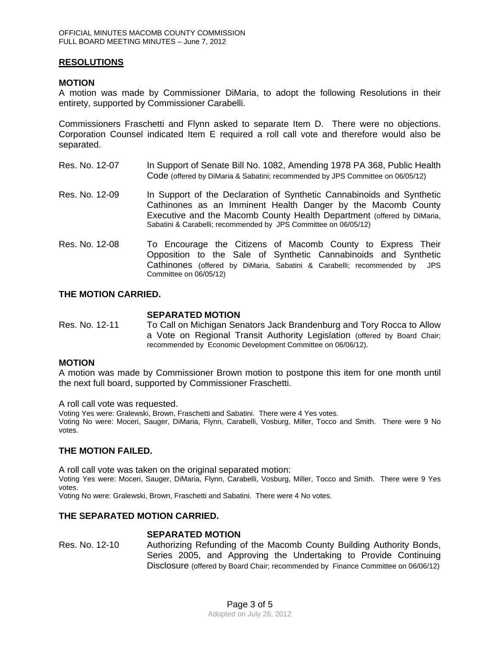# **RESOLUTIONS**

## **MOTION**

A motion was made by Commissioner DiMaria, to adopt the following Resolutions in their entirety, supported by Commissioner Carabelli.

Commissioners Fraschetti and Flynn asked to separate Item D. There were no objections. Corporation Counsel indicated Item E required a roll call vote and therefore would also be separated.

- Res. No. 12-07 In Support of Senate Bill No. 1082, Amending 1978 PA 368, Public Health Code (offered by DiMaria & Sabatini; recommended by JPS Committee on 06/05/12)
- Res. No. 12-09 In Support of the Declaration of Synthetic Cannabinoids and Synthetic Cathinones as an Imminent Health Danger by the Macomb County Executive and the Macomb County Health Department (offered by DiMaria, Sabatini & Carabelli; recommended by JPS Committee on 06/05/12)
- Res. No. 12-08 To Encourage the Citizens of Macomb County to Express Their Opposition to the Sale of Synthetic Cannabinoids and Synthetic Cathinones (offered by DiMaria, Sabatini & Carabelli; recommended by JPS Committee on 06/05/12)

# **THE MOTION CARRIED.**

#### **SEPARATED MOTION**

Res. No. 12-11 To Call on Michigan Senators Jack Brandenburg and Tory Rocca to Allow a Vote on Regional Transit Authority Legislation (offered by Board Chair; recommended by Economic Development Committee on 06/06/12).

## **MOTION**

A motion was made by Commissioner Brown motion to postpone this item for one month until the next full board, supported by Commissioner Fraschetti.

A roll call vote was requested.

Voting Yes were: Gralewski, Brown, Fraschetti and Sabatini. There were 4 Yes votes. Voting No were: Moceri, Sauger, DiMaria, Flynn, Carabelli, Vosburg, Miller, Tocco and Smith. There were 9 No votes.

## **THE MOTION FAILED.**

A roll call vote was taken on the original separated motion: Voting Yes were: Moceri, Sauger, DiMaria, Flynn, Carabelli, Vosburg, Miller, Tocco and Smith. There were 9 Yes votes.

Voting No were: Gralewski, Brown, Fraschetti and Sabatini. There were 4 No votes.

## **THE SEPARATED MOTION CARRIED.**

## **SEPARATED MOTION**

Res. No. 12-10 Authorizing Refunding of the Macomb County Building Authority Bonds, Series 2005, and Approving the Undertaking to Provide Continuing Disclosure (offered by Board Chair; recommended by Finance Committee on 06/06/12)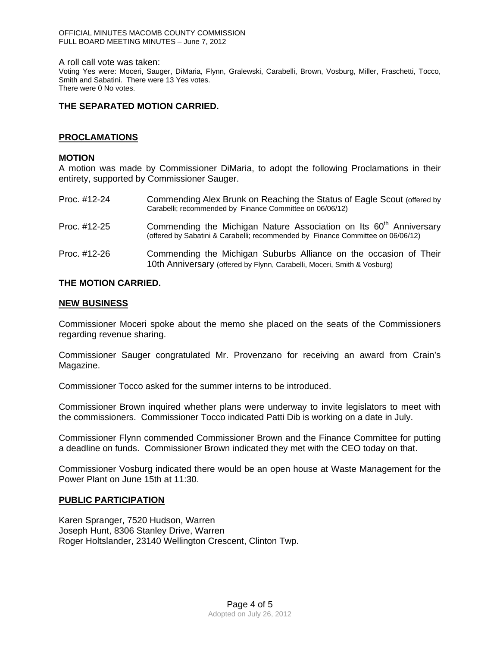#### A roll call vote was taken:

Voting Yes were: Moceri, Sauger, DiMaria, Flynn, Gralewski, Carabelli, Brown, Vosburg, Miller, Fraschetti, Tocco, Smith and Sabatini. There were 13 Yes votes. There were 0 No votes.

# **THE SEPARATED MOTION CARRIED.**

# **PROCLAMATIONS**

### **MOTION**

A motion was made by Commissioner DiMaria, to adopt the following Proclamations in their entirety, supported by Commissioner Sauger.

| Proc. #12-24 | Commending Alex Brunk on Reaching the Status of Eagle Scout (offered by<br>Carabelli; recommended by Finance Committee on 06/06/12)                               |
|--------------|-------------------------------------------------------------------------------------------------------------------------------------------------------------------|
| Proc. #12-25 | Commending the Michigan Nature Association on Its 60 <sup>th</sup> Anniversary<br>(offered by Sabatini & Carabelli; recommended by Finance Committee on 06/06/12) |
| Proc. #12-26 | Commending the Michigan Suburbs Alliance on the occasion of Their<br>10th Anniversary (offered by Flynn, Carabelli, Moceri, Smith & Vosburg)                      |

## **THE MOTION CARRIED.**

## **NEW BUSINESS**

Commissioner Moceri spoke about the memo she placed on the seats of the Commissioners regarding revenue sharing.

Commissioner Sauger congratulated Mr. Provenzano for receiving an award from Crain's Magazine.

Commissioner Tocco asked for the summer interns to be introduced.

Commissioner Brown inquired whether plans were underway to invite legislators to meet with the commissioners. Commissioner Tocco indicated Patti Dib is working on a date in July.

Commissioner Flynn commended Commissioner Brown and the Finance Committee for putting a deadline on funds. Commissioner Brown indicated they met with the CEO today on that.

Commissioner Vosburg indicated there would be an open house at Waste Management for the Power Plant on June 15th at 11:30.

## **PUBLIC PARTICIPATION**

Karen Spranger, 7520 Hudson, Warren Joseph Hunt, 8306 Stanley Drive, Warren Roger Holtslander, 23140 Wellington Crescent, Clinton Twp.